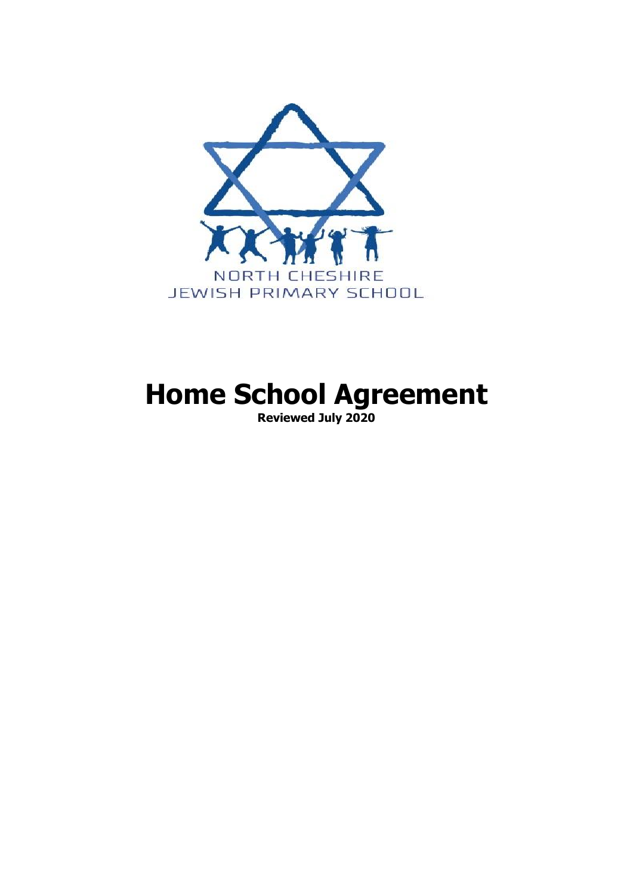

# **Home School Agreement**

**Reviewed July 2020**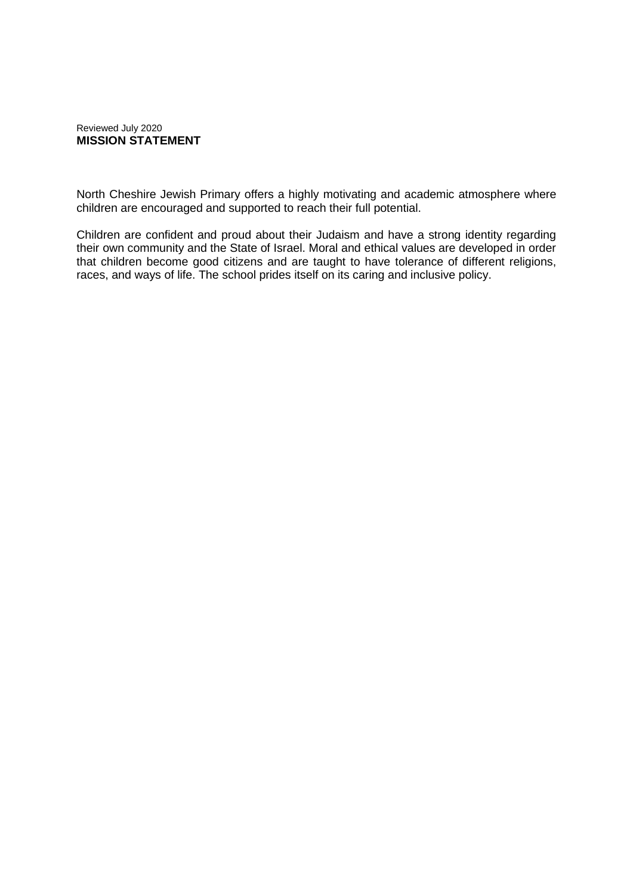#### Reviewed July 2020 **MISSION STATEMENT**

North Cheshire Jewish Primary offers a highly motivating and academic atmosphere where children are encouraged and supported to reach their full potential.

Children are confident and proud about their Judaism and have a strong identity regarding their own community and the State of Israel. Moral and ethical values are developed in order that children become good citizens and are taught to have tolerance of different religions, races, and ways of life. The school prides itself on its caring and inclusive policy.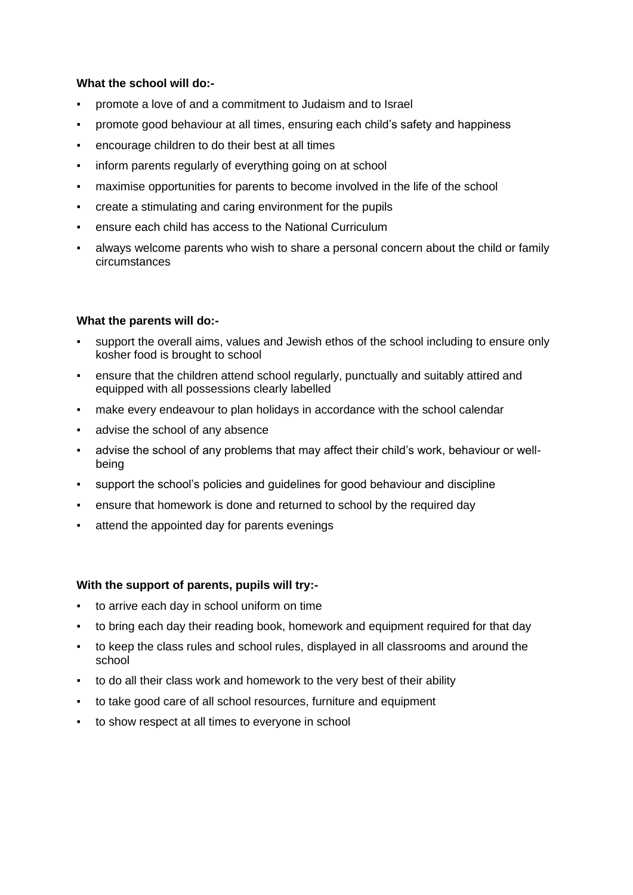#### **What the school will do:-**

- promote a love of and a commitment to Judaism and to Israel
- promote good behaviour at all times, ensuring each child's safety and happiness
- encourage children to do their best at all times
- inform parents regularly of everything going on at school
- maximise opportunities for parents to become involved in the life of the school
- create a stimulating and caring environment for the pupils
- ensure each child has access to the National Curriculum
- always welcome parents who wish to share a personal concern about the child or family circumstances

### **What the parents will do:-**

- support the overall aims, values and Jewish ethos of the school including to ensure only kosher food is brought to school
- ensure that the children attend school regularly, punctually and suitably attired and equipped with all possessions clearly labelled
- make every endeavour to plan holidays in accordance with the school calendar
- advise the school of any absence
- advise the school of any problems that may affect their child's work, behaviour or wellbeing
- support the school's policies and guidelines for good behaviour and discipline
- ensure that homework is done and returned to school by the required day
- attend the appointed day for parents evenings

#### **With the support of parents, pupils will try:-**

- to arrive each day in school uniform on time
- to bring each day their reading book, homework and equipment required for that day
- to keep the class rules and school rules, displayed in all classrooms and around the school
- to do all their class work and homework to the very best of their ability
- to take good care of all school resources, furniture and equipment
- to show respect at all times to everyone in school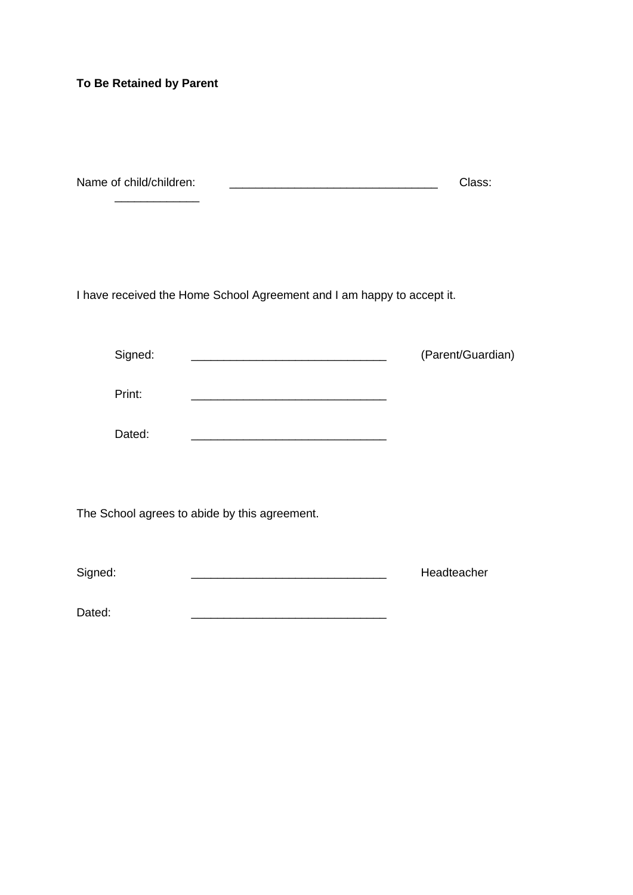## **To Be Retained by Parent**

| Name of child/children: | Class: |
|-------------------------|--------|
|                         |        |

I have received the Home School Agreement and I am happy to accept it.

| Signed: |                                               | (Parent/Guardian) |
|---------|-----------------------------------------------|-------------------|
| Print:  |                                               |                   |
| Dated:  |                                               |                   |
|         |                                               |                   |
|         | The School agrees to abide by this agreement. |                   |

| Signed: | Headteacher |
|---------|-------------|
|---------|-------------|

Dated: